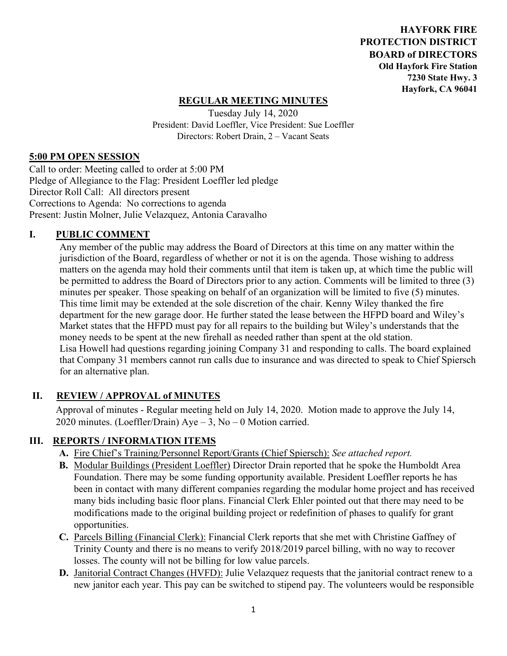**HAYFORK FIRE PROTECTION DISTRICT BOARD of DIRECTORS Old Hayfork Fire Station 7230 State Hwy. 3 Hayfork, CA 96041** 

## **REGULAR MEETING MINUTES**

Tuesday July 14, 2020 President: David Loeffler, Vice President: Sue Loeffler Directors: Robert Drain, 2 – Vacant Seats

#### **5:00 PM OPEN SESSION**

Call to order: Meeting called to order at 5:00 PM Pledge of Allegiance to the Flag: President Loeffler led pledge Director Roll Call: All directors present Corrections to Agenda: No corrections to agenda Present: Justin Molner, Julie Velazquez, Antonia Caravalho

### **I. PUBLIC COMMENT**

Any member of the public may address the Board of Directors at this time on any matter within the jurisdiction of the Board, regardless of whether or not it is on the agenda. Those wishing to address matters on the agenda may hold their comments until that item is taken up, at which time the public will be permitted to address the Board of Directors prior to any action. Comments will be limited to three (3) minutes per speaker. Those speaking on behalf of an organization will be limited to five (5) minutes. This time limit may be extended at the sole discretion of the chair. Kenny Wiley thanked the fire department for the new garage door. He further stated the lease between the HFPD board and Wiley's Market states that the HFPD must pay for all repairs to the building but Wiley's understands that the money needs to be spent at the new firehall as needed rather than spent at the old station. Lisa Howell had questions regarding joining Company 31 and responding to calls. The board explained that Company 31 members cannot run calls due to insurance and was directed to speak to Chief Spiersch for an alternative plan.

### **II. REVIEW / APPROVAL of MINUTES**

 Approval of minutes - Regular meeting held on July 14, 2020. Motion made to approve the July 14, 2020 minutes. (Loeffler/Drain) Aye – 3, No – 0 Motion carried.

### **III. REPORTS / INFORMATION ITEMS**

- **A.** Fire Chief's Training/Personnel Report/Grants (Chief Spiersch): *See attached report.*
- **B.** Modular Buildings (President Loeffler) Director Drain reported that he spoke the Humboldt Area Foundation. There may be some funding opportunity available. President Loeffler reports he has been in contact with many different companies regarding the modular home project and has received many bids including basic floor plans. Financial Clerk Ehler pointed out that there may need to be modifications made to the original building project or redefinition of phases to qualify for grant opportunities.
- **C.** Parcels Billing (Financial Clerk): Financial Clerk reports that she met with Christine Gaffney of Trinity County and there is no means to verify 2018/2019 parcel billing, with no way to recover losses. The county will not be billing for low value parcels.
- **D.** Janitorial Contract Changes (HVFD): Julie Velazquez requests that the janitorial contract renew to a new janitor each year. This pay can be switched to stipend pay. The volunteers would be responsible